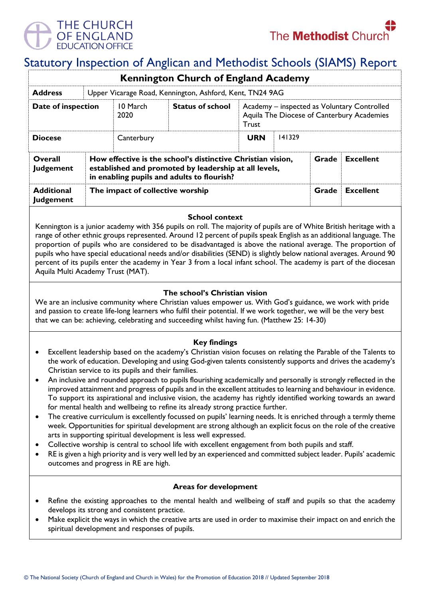

# Statutory Inspection of Anglican and Methodist Schools (SIAMS) Report

|                                       |                                                                                                                                                                                                 |                  | <b>Kennington Church of England Academy</b> |                                                                                                    |        |       |                  |
|---------------------------------------|-------------------------------------------------------------------------------------------------------------------------------------------------------------------------------------------------|------------------|---------------------------------------------|----------------------------------------------------------------------------------------------------|--------|-------|------------------|
| <b>Address</b>                        | Upper Vicarage Road, Kennington, Ashford, Kent, TN24 9AG                                                                                                                                        |                  |                                             |                                                                                                    |        |       |                  |
| Date of inspection                    |                                                                                                                                                                                                 | 10 March<br>2020 | <b>Status of school</b>                     | Academy - inspected as Voluntary Controlled<br>Aquila The Diocese of Canterbury Academies<br>Trust |        |       |                  |
| <b>Diocese</b>                        |                                                                                                                                                                                                 | Canterbury       |                                             | <b>URN</b>                                                                                         | 141329 |       |                  |
| Overall<br><b>Judgement</b>           | How effective is the school's distinctive Christian vision,<br>Grade<br><b>Excellent</b><br>established and promoted by leadership at all levels,<br>in enabling pupils and adults to flourish? |                  |                                             |                                                                                                    |        |       |                  |
| <b>Additional</b><br><b>Judgement</b> | The impact of collective worship                                                                                                                                                                |                  |                                             |                                                                                                    |        | Grade | <b>Excellent</b> |

## **School context**

Kennington is a junior academy with 356 pupils on roll. The majority of pupils are of White British heritage with a range of other ethnic groups represented. Around 12 percent of pupils speak English as an additional language. The proportion of pupils who are considered to be disadvantaged is above the national average. The proportion of pupils who have special educational needs and/or disabilities (SEND) is slightly below national averages. Around 90 percent of its pupils enter the academy in Year 3 from a local infant school. The academy is part of the diocesan Aquila Multi Academy Trust (MAT).

## **The school's Christian vision**

We are an inclusive community where Christian values empower us. With God's guidance, we work with pride and passion to create life-long learners who fulfil their potential. If we work together, we will be the very best that we can be: achieving, celebrating and succeeding whilst having fun. (Matthew 25: 14-30)

## **Key findings**

- Excellent leadership based on the academy's Christian vision focuses on relating the Parable of the Talents to the work of education. Developing and using God-given talents consistently supports and drives the academy's Christian service to its pupils and their families.
- An inclusive and rounded approach to pupils flourishing academically and personally is strongly reflected in the improved attainment and progress of pupils and in the excellent attitudes to learning and behaviour in evidence. To support its aspirational and inclusive vision, the academy has rightly identified working towards an award for mental health and wellbeing to refine its already strong practice further.
- The creative curriculum is excellently focussed on pupils' learning needs. It is enriched through a termly theme week. Opportunities for spiritual development are strong although an explicit focus on the role of the creative arts in supporting spiritual development is less well expressed.
- Collective worship is central to school life with excellent engagement from both pupils and staff.
- RE is given a high priority and is very well led by an experienced and committed subject leader. Pupils' academic outcomes and progress in RE are high.

## **Areas for development**

- Refine the existing approaches to the mental health and wellbeing of staff and pupils so that the academy develops its strong and consistent practice.
- Make explicit the ways in which the creative arts are used in order to maximise their impact on and enrich the spiritual development and responses of pupils.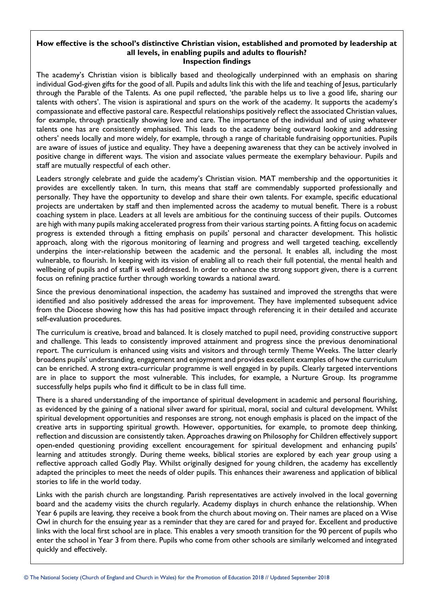### **How effective is the school's distinctive Christian vision, established and promoted by leadership at all levels, in enabling pupils and adults to flourish? Inspection findings**

The academy's Christian vision is biblically based and theologically underpinned with an emphasis on sharing individual God-given gifts for the good of all. Pupils and adults link this with the life and teaching of Jesus, particularly through the Parable of the Talents. As one pupil reflected, 'the parable helps us to live a good life, sharing our talents with others'. The vision is aspirational and spurs on the work of the academy. It supports the academy's compassionate and effective pastoral care. Respectful relationships positively reflect the associated Christian values, for example, through practically showing love and care. The importance of the individual and of using whatever talents one has are consistently emphasised. This leads to the academy being outward looking and addressing others' needs locally and more widely, for example, through a range of charitable fundraising opportunities. Pupils are aware of issues of justice and equality. They have a deepening awareness that they can be actively involved in positive change in different ways. The vision and associate values permeate the exemplary behaviour. Pupils and staff are mutually respectful of each other.

Leaders strongly celebrate and guide the academy's Christian vision. MAT membership and the opportunities it provides are excellently taken. In turn, this means that staff are commendably supported professionally and personally. They have the opportunity to develop and share their own talents. For example, specific educational projects are undertaken by staff and then implemented across the academy to mutual benefit. There is a robust coaching system in place. Leaders at all levels are ambitious for the continuing success of their pupils. Outcomes are high with many pupils making accelerated progress from their various starting points. A fitting focus on academic progress is extended through a fitting emphasis on pupils' personal and character development. This holistic approach, along with the rigorous monitoring of learning and progress and well targeted teaching, excellently underpins the inter-relationship between the academic and the personal. It enables all, including the most vulnerable, to flourish. In keeping with its vision of enabling all to reach their full potential, the mental health and wellbeing of pupils and of staff is well addressed. In order to enhance the strong support given, there is a current focus on refining practice further through working towards a national award.

Since the previous denominational inspection, the academy has sustained and improved the strengths that were identified and also positively addressed the areas for improvement. They have implemented subsequent advice from the Diocese showing how this has had positive impact through referencing it in their detailed and accurate self-evaluation procedures.

The curriculum is creative, broad and balanced. It is closely matched to pupil need, providing constructive support and challenge. This leads to consistently improved attainment and progress since the previous denominational report. The curriculum is enhanced using visits and visitors and through termly Theme Weeks. The latter clearly broadens pupils' understanding, engagement and enjoyment and provides excellent examples of how the curriculum can be enriched. A strong extra-curricular programme is well engaged in by pupils. Clearly targeted interventions are in place to support the most vulnerable. This includes, for example, a Nurture Group. Its programme successfully helps pupils who find it difficult to be in class full time.

There is a shared understanding of the importance of spiritual development in academic and personal flourishing, as evidenced by the gaining of a national silver award for spiritual, moral, social and cultural development. Whilst spiritual development opportunities and responses are strong, not enough emphasis is placed on the impact of the creative arts in supporting spiritual growth. However, opportunities, for example, to promote deep thinking, reflection and discussion are consistently taken. Approaches drawing on Philosophy for Children effectively support open-ended questioning providing excellent encouragement for spiritual development and enhancing pupils' learning and attitudes strongly. During theme weeks, biblical stories are explored by each year group using a reflective approach called Godly Play. Whilst originally designed for young children, the academy has excellently adapted the principles to meet the needs of older pupils. This enhances their awareness and application of biblical stories to life in the world today.

Links with the parish church are longstanding. Parish representatives are actively involved in the local governing board and the academy visits the church regularly. Academy displays in church enhance the relationship. When Year 6 pupils are leaving, they receive a book from the church about moving on. Their names are placed on a Wise Owl in church for the ensuing year as a reminder that they are cared for and prayed for. Excellent and productive links with the local first school are in place. This enables a very smooth transition for the 90 percent of pupils who enter the school in Year 3 from there. Pupils who come from other schools are similarly welcomed and integrated quickly and effectively.